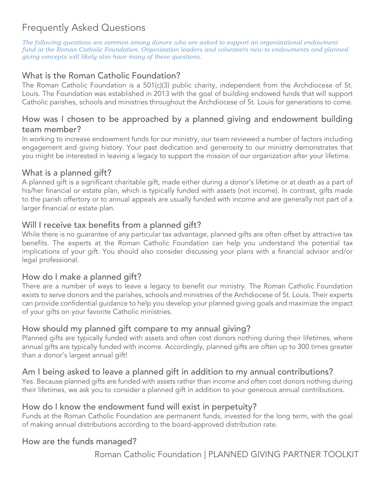# Frequently Asked Questions

*The following questions are common among donors who are asked to support an organizational endowment fund at the Roman Catholic Foundation. Organization leaders and volunteers new to endowments and planned giving concepts will likely also have many of these questions.*

## What is the Roman Catholic Foundation?

The Roman Catholic Foundation is a 501(c)(3) public charity, independent from the Archdiocese of St. Louis. The Foundation was established in 2013 with the goal of building endowed funds that will support Catholic parishes, schools and ministries throughout the Archdiocese of St. Louis for generations to come.

#### How was I chosen to be approached by a planned giving and endowment building team member?

In working to increase endowment funds for our ministry, our team reviewed a number of factors including engagement and giving history. Your past dedication and generosity to our ministry demonstrates that you might be interested in leaving a legacy to support the mission of our organization after your lifetime.

#### What is a planned gift?

A planned gift is a significant charitable gift, made either during a donor's lifetime or at death as a part of his/her financial or estate plan, which is typically funded with assets (not income). In contrast, gifts made to the parish offertory or to annual appeals are usually funded with income and are generally not part of a larger financial or estate plan.

#### Will I receive tax benefits from a planned gift?

While there is no guarantee of any particular tax advantage, planned gifts are often offset by attractive tax benefits. The experts at the Roman Catholic Foundation can help you understand the potential tax implications of your gift. You should also consider discussing your plans with a financial advisor and/or legal professional.

#### How do I make a planned gift?

There are a number of ways to leave a legacy to benefit our ministry. The Roman Catholic Foundation exists to serve donors and the parishes, schools and ministries of the Archdiocese of St. Louis. Their experts can provide confidential guidance to help you develop your planned giving goals and maximize the impact of your gifts on your favorite Catholic ministries.

#### How should my planned gift compare to my annual giving?

Planned gifts are typically funded with assets and often cost donors nothing during their lifetimes, where annual gifts are typically funded with income. Accordingly, planned gifts are often up to 300 times greater than a donor's largest annual gift!

### Am I being asked to leave a planned gift in addition to my annual contributions?

Yes. Because planned gifts are funded with assets rather than income and often cost donors nothing during their lifetimes, we ask you to consider a planned gift in addition to your generous annual contributions.

#### How do I know the endowment fund will exist in perpetuity?

Funds at the Roman Catholic Foundation are permanent funds, invested for the long term, with the goal of making annual distributions according to the board-approved distribution rate.

#### How are the funds managed?

Roman Catholic Foundation | PLANNED GIVING PARTNER TOOLKIT